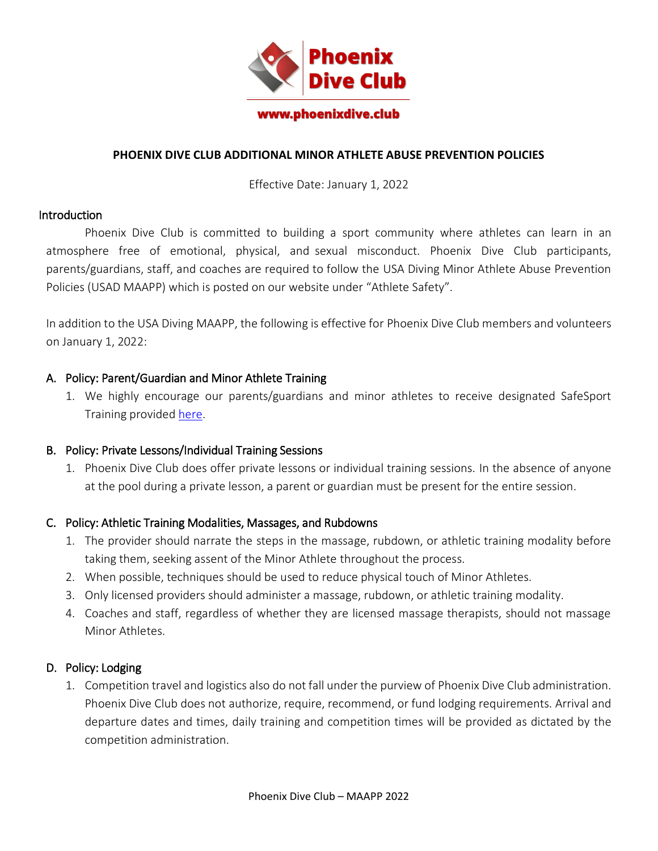

# **PHOENIX DIVE CLUB ADDITIONAL MINOR ATHLETE ABUSE PREVENTION POLICIES**

Effective Date: January 1, 2022

#### **Introduction**

Phoenix Dive Club is committed to building a sport community where athletes can learn in an atmosphere free of emotional, physical, and sexual misconduct. Phoenix Dive Club participants, parents/guardians, staff, and coaches are required to follow the USA Diving Minor Athlete Abuse Prevention Policies (USAD MAAPP) which is posted on our website under "Athlete Safety".

In addition to the USA Diving MAAPP, the following is effective for Phoenix Dive Club members and volunteers on January 1, 2022:

### A. Policy: Parent/Guardian and Minor Athlete Training

1. We highly encourage our parents/guardians and minor athletes to receive designated SafeSport Training provided [here.](https://www.athletesafety.org/)

#### B. Policy: Private Lessons/Individual Training Sessions

1. Phoenix Dive Club does offer private lessons or individual training sessions. In the absence of anyone at the pool during a private lesson, a parent or guardian must be present for the entire session.

#### C. Policy: Athletic Training Modalities, Massages, and Rubdowns

- 1. The provider should narrate the steps in the massage, rubdown, or athletic training modality before taking them, seeking assent of the Minor Athlete throughout the process.
- 2. When possible, techniques should be used to reduce physical touch of Minor Athletes.
- 3. Only licensed providers should administer a massage, rubdown, or athletic training modality.
- 4. Coaches and staff, regardless of whether they are licensed massage therapists, should not massage Minor Athletes.

# D. Policy: Lodging

1. Competition travel and logistics also do not fall under the purview of Phoenix Dive Club administration. Phoenix Dive Club does not authorize, require, recommend, or fund lodging requirements. Arrival and departure dates and times, daily training and competition times will be provided as dictated by the competition administration.